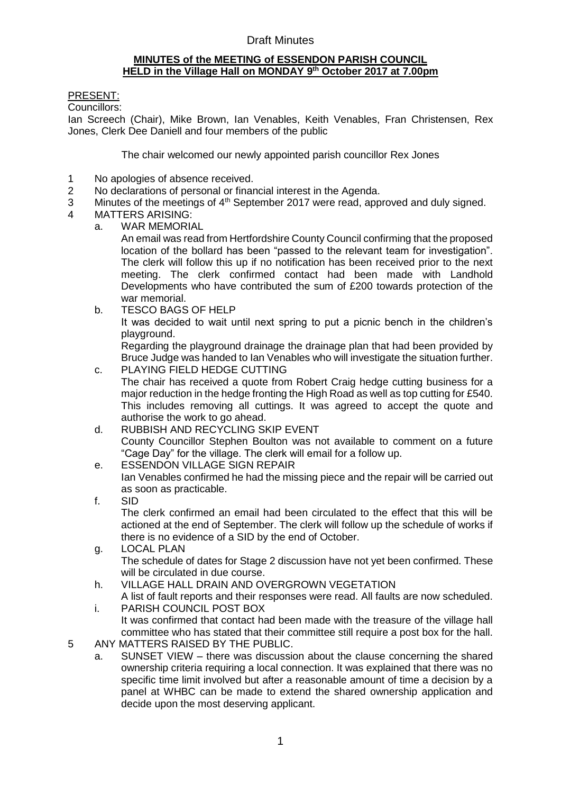# Draft Minutes

#### **MINUTES of the MEETING of ESSENDON PARISH COUNCIL HELD in the Village Hall on MONDAY 9 th October 2017 at 7.00pm**

### PRESENT:

Councillors:

Ian Screech (Chair), Mike Brown, Ian Venables, Keith Venables, Fran Christensen, Rex Jones, Clerk Dee Daniell and four members of the public

The chair welcomed our newly appointed parish councillor Rex Jones

- 1 No apologies of absence received.
- 2 No declarations of personal or financial interest in the Agenda.
- 3 Minutes of the meetings of  $4<sup>th</sup>$  September 2017 were read, approved and duly signed.
- 4 MATTERS ARISING:
	- a. WAR MEMORIAL

An email was read from Hertfordshire County Council confirming that the proposed location of the bollard has been "passed to the relevant team for investigation". The clerk will follow this up if no notification has been received prior to the next meeting. The clerk confirmed contact had been made with Landhold Developments who have contributed the sum of £200 towards protection of the war memorial.

b. TESCO BAGS OF HELP It was decided to wait until next spring to put a picnic bench in the children's playground.

Regarding the playground drainage the drainage plan that had been provided by Bruce Judge was handed to Ian Venables who will investigate the situation further.

- c. PLAYING FIELD HEDGE CUTTING The chair has received a quote from Robert Craig hedge cutting business for a major reduction in the hedge fronting the High Road as well as top cutting for £540. This includes removing all cuttings. It was agreed to accept the quote and authorise the work to go ahead.
- d. RUBBISH AND RECYCLING SKIP EVENT County Councillor Stephen Boulton was not available to comment on a future "Cage Day" for the village. The clerk will email for a follow up.
- e. ESSENDON VILLAGE SIGN REPAIR Ian Venables confirmed he had the missing piece and the repair will be carried out as soon as practicable.
- f. SID The clerk confirmed an email had been circulated to the effect that this will be actioned at the end of September. The clerk will follow up the schedule of works if there is no evidence of a SID by the end of October.
- g. LOCAL PLAN The schedule of dates for Stage 2 discussion have not yet been confirmed. These will be circulated in due course.
- h. VILLAGE HALL DRAIN AND OVERGROWN VEGETATION
- A list of fault reports and their responses were read. All faults are now scheduled. i. PARISH COUNCIL POST BOX
- It was confirmed that contact had been made with the treasure of the village hall committee who has stated that their committee still require a post box for the hall.
- 5 ANY MATTERS RAISED BY THE PUBLIC.
	- a. SUNSET VIEW there was discussion about the clause concerning the shared ownership criteria requiring a local connection. It was explained that there was no specific time limit involved but after a reasonable amount of time a decision by a panel at WHBC can be made to extend the shared ownership application and decide upon the most deserving applicant.